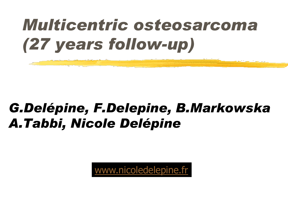## *Multicentric osteosarcoma (27 years follow-up)*

#### *G.Delépine, F.Delepine, B.Markowska A.Tabbi, Nicole Delépine*

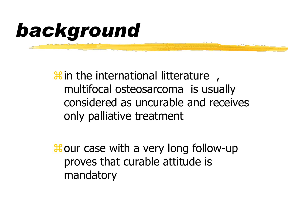# *background*

 $\mathcal{H}$  in the international litterature multifocal osteosarcoma is usually considered as uncurable and receives only palliative treatment

 $\frac{42}{10}$  our case with a very long follow-up proves that curable attitude is mandatory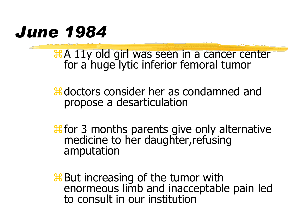## *June 1984*

**HA 11y old girl was seen in a cancer center** for a huge lytic inferior femoral tumor

**and** doctors consider her as condamned and propose a desarticulation

**#** for 3 months parents give only alternative medicine to her daughter,refusing amputation

**But increasing of the tumor with** enormeous limb and inacceptable pain led to consult in our institution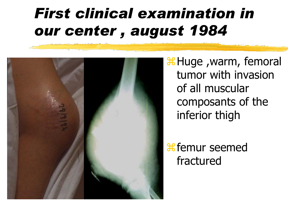## *First clinical examination in our center , august 1984*



*H***Huge** , warm, femoral tumor with invasion of all muscular composants of the inferior thigh

*f* femur seemed fractured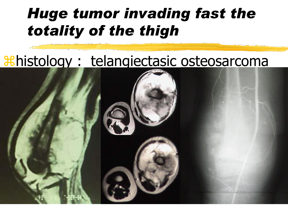## *Huge tumor invading fast the totality of the thigh*

#### histology : telangiectasic osteosarcoma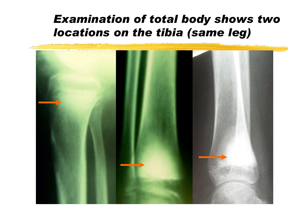#### *Examination of total body shows two locations on the tibia (same leg)*

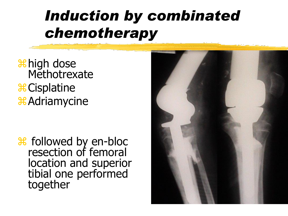## *Induction by combinated chemotherapy*

**H** high dose **Methotrexate** *<del>&</del>* Cisplatine & Adriamycine

 followed by en-bloc resection of femoral location and superior tibial one performed together

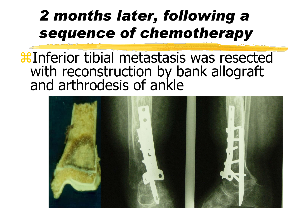## *2 months later, following a sequence of chemotherapy*

#### **X Inferior tibial metastasis was resected** with reconstruction by bank allograft and arthrodesis of ankle

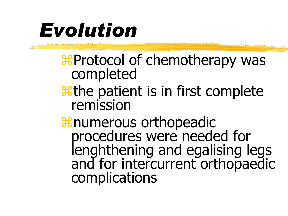# *Evolution*

Protocol of chemotherapy was completed

*a*the patient is in first complete remission

& numerous orthopeadic procedures were needed for lenghthening and egalising legs and for intercurrent orthopaedic complications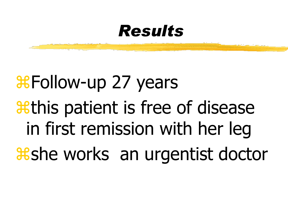#### *Results*

# *Where Histollow-up 27 years athis patient is free of disease* in first remission with her leg **& x She works** an urgentist doctor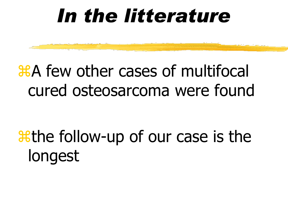# *In the litterature*

## A few other cases of multifocal cured osteosarcoma were found

# *a***the follow-up of our case is the** longest